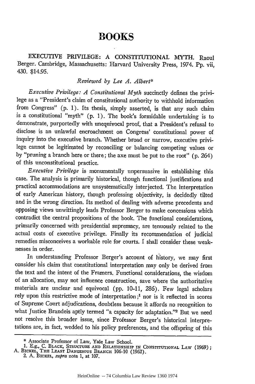## **BOOKS**

EXECUTIVE PRIVILEGE: A CONSTITUTIONAL MYTH. Raoul Berger. Cambridge, Massachusetts: Harvard University Press, 1974. Pp. vii, 430. \$14.95.

## *Reviewed by Lee A. Albert\**

*Executive Privilege: A Constitutional Myth* succinctly defines the privilege as a "President's claim of constitutional authority to withhold information from Congress" (p. **1).** Its thesis, simply asserted, is that any such claim is a constitutional "myth" (p. **1).** The book's formidable undertaking is to demonstrate, purportedly with unequivocal proof, that a President's refusal to disclose is an unlawful encroachment on Congress' constitutional power of inquiry into the executive branch. Whether broad or narrow, executive privilege cannot be legitimated **by** reconciling or balancing competing values or **by** "pruning a branch here or there; the axe must be put to the root" **(p.** 264) of this unconstitutional practice.

*Executive Privilege* is monumentally unpersuasive in establishing this case. The analysis is primarily historical, though functional justifications and practical accommodations are unsystematically interjected. The interpretation of early American history, though professing objectivity, is decidedly tilted and in the wrong direction. Its method of dealing with adverse precedents and opposing views unwittingly leads Professor Berger to make concessions which contradict the central propositions of the book. The functional considerations, primarily concerned with presidential supremacy, are tenuously related to the actual costs of executive privilege. Finally its recommendation of judicial remedies misconceives a workable role for courts. I shall consider these weaknesses in order.

In understanding Professor Berger's account of history, we may first consider his claim that constitutional interpretation may only be derived from the text and the intent of the Framers. Functional considerations, the wisdom of an allocation, may not influence construction, save where the authoritative materials are unclear and equivocal (pp. 10-11, 286). Few legal scholars rely upon this restrictive mode of interpretation **;'** nor is it reflected in scores of Supreme Court adjudications, doubtless because it affords no recognition to what Justice Brandeis aptly termed "a capacity for adaptation."<sup>2</sup> But we need not resolve this broader issue, since Professor Berger's historical interpretations are, in fact, wedded to his policy preferences, and the offspring of this

**<sup>\*</sup>** Associate Professor of Law, Yale Law School.

<sup>1.</sup> E.g., C. BLACK, STRUCTURE AND RELATIONSHIP IN CONSTITUTIONAL LAW (1969)<br>A. BICKEL, THE LEAST DANGEROUS BRANCH 106-10 (1962).<br>2. A. BICKEL, *supra* note 1, at 107.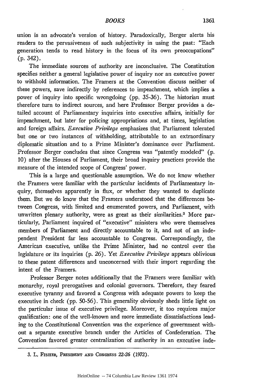union is an advocate's version of history. Paradoxically, Berger alerts his readers to the pervasiveness of such subjectivity in using the past: "Each generation tends to read history in the focus of its own preoccupations" **(p.** 342).

The immediate sources of authority are inconclusive. The Constitution specifies neither a general legislative power of inquiry nor an executive power to withhold information. The Framers at the Convention discuss neither of these powers, save indirectly by references to impeachment, which implies a power of inquiry into specific wrongdoing (pp. 35-36). The historian must therefore turn to indirect sources, and here Professor Berger provides a detailed account of Parliamentary inquiries into executive affairs, initially for impeachment, but later for policing appropriations and, at times, legislation and foreign affairs. *Executive Privilege* emphasizes that Parliament tolerated but one or two instances of withholding, attributable to an extraordinary diplomatic situation and to a Prime Minister's dominance over Parliament. Professor Berger concludes that since Congress was "patently modeled" **(p.** 10) after the Houses of Parliament, their broad inquiry practices provide the measure of the intended scope of Congress' power.

This is a large and questionable assumption. We do not know whether the Framers were familiar with the particular incidents of Parliamentary inquiry, themselves apparently in flux, or whether they wanted to duplicate them. But we do know that the Framers understood that the differences between Congress, with limited and enumerated powers, and Parliament, with unwritten plenary authority, were as great as their similarities.<sup>3</sup> More particularly, Parliament inquired of "executive" ministers who were themselves members of Parliament and directly accountable to it, and not of an independent President far less accountable to Congress. Correspondingly, the American executive, unlike the Prime Minister, had no control over the legislature or its inquiries (p. 26). Yet *Executive Privilege* appears oblivious to these patent differences and unconcerned with their import regarding the intent of the Framers.

Professor Berger notes additionally that the Framers were familiar with monarchy, royal prerogatives and colonial governors. Therefore, they feared executive tyranny and favored a Congress with adequate powers to keep the executive in check (pp. 50-56). This generality obviously sheds little light on the particular issue of executive privilege. Moreover, it too requires major qualification: one of the well-known and more immediate dissatisfactions leading to the Constitutional Convention was the experience of government without a separate executive branch under the Articles of Confederation. The Convention favored greater centralization of authority in an executive inde-

**<sup>3.</sup>** L. FISHER, PRESIDENT **AND CONGRESS** 22-26 (1972).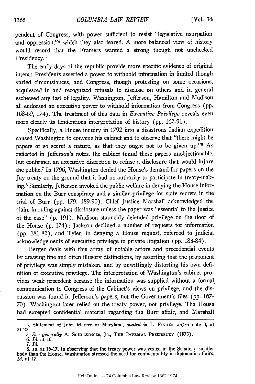pendent of Congress, with power sufficient to resist "legislative usurpation and oppression,"4 which they also feared. A more balanced view of history would record that the Framers wanted a strong though not unchecked Presidency.<sup>5</sup>

The early days of the republic provide more specific evidence of original intent: Presidents asserted a power to withhold information in limited though varied circumstances, and Congress, though protesting on some occasions, acquiesced in and recognized refusals to disclose on others and in general eschewed any test of legality. Washington, Jefferson, Hamilton and Madison all endorsed an executive power to withhold information from Congress (pp. 168-69, 174). The treatment of this data in *Executive Privilege* reveals even more clearly its tendentious interpretation of history (pp. 167-91).

Specifically, a House inquiry in 1792 into a disastrous Indian expedition caused Washington to convene his cabinet and to observe that "there might be papers of so secret a nature, as that they ought not to be given up."0 As reflected in Jefferson's notes, the cabinet found these papers unobjectionable. but confirmed an executive discretion to refuse a disclosure that would injure the public.7 In 1796, Washington denied the House's demand for papers on the Jay treaty on the ground that it had no authority to participate in treaty-making.8 Similarly, Jefferson invoked the public welfare in denying the House information on the Burr conspiracy and a similar privilege for state secrets in the trial of Burr (pp. 179, 189-90). Chief Justice Marshall acknowledged the claim in ruling against disclosure unless the paper was "essential to the justice of the case" (p. 191). Madison staunchly defended privilege on the floor of the House (p. 174) ; Jackson declined a number of requests for information (pp. 181-82), and Tyler, in denying a House request, referred to judicial acknowledgements of executive privilege in private litigation (pp. 183-84).

Berger deals with this array of notable actors and precedential events by drawing fine and often illusory distinctions, by asserting that the proponent of privilege was simply mistaken, and by unwittingly distorting his own definition of executive privilege. The interpretation of Washington's cabinet provides weak precedent because the information was supplied without a formal communication to Congress of the Cabinet's views on privilege, and the discussion was found in Jefferson's papers, not the Government's files (pp. 167- 70). Washington later relied on the treaty power, not privilege. The House had excepted confidential material regarding the Burr affair, and Marshall

<sup>4.</sup> Statement of John Mercer of Maryland, *quwted in* L. FIsHER, *supra* note **3,** at 21-22.

**<sup>5.</sup>** *See generally* **A. SCHLESINGER,** JR., **THE IMPERIAL** PRESIDENCY (1973).

*<sup>6.</sup> Id.* at 16. *7. Id.*

<sup>8.</sup> *Id.* at 16-17. In observing that the treaty power was vested in the Senate, a smaller body than the House, Washington stressed the need for confidentiality in diplomatic affairs. *Id.* at **17.**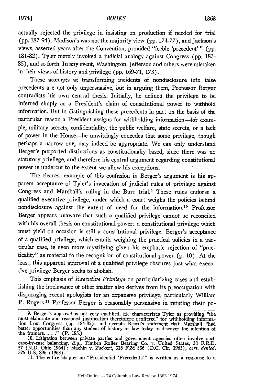## 19741 *BOOKS* **1363**

actually rejected the privilege in insisting on production if needed for trial **(pp.** 187-94). Madison's was not the majority view (pp. **174-77),** and Jackson's views, asserted years after the Convention, provided "feeble 'precedent' " **(pp.** 181-82). Tyler merely invoked a judicial analogy against Congress **(pp. 183- 85),** and so forth. In any event, Washington, Jefferson and others were mistaken in their views of history and privilege **(pp. 169-71, 173).**

These attempts at transforming incidents of nondisclosure into false precedents are not only unpersuasive, but in arguing them, Professor Berger contradicts his own central thesis. Initially, he defined the privilege to be inferred simply as a President's claim of constitutional power to withhold information. But in distinguishing these precedents in part on the basis of the particular reason a President assigns for withholding information-for example, military secrets, confidentiality, the public welfare, state secrets, or a lack of power in the House-he unwittingly concedes that some privilege, though perhaps a narrow one, may indeed **be** appropriate. We can only understand Berger's purported distinctions as constitutionally based, since there was no statutory privilege, and therefore his central argument regarding constitutional power is undercut to the extent we allow his exceptions.

The clearest example of this confusion in Berger's argument is his apparent acceptance of Tyler's invocation of judicial rules of privilege against Congress and Marshall's ruling in the Burr trial.<sup>9</sup> These rules endorse a qualified executive privilege, under which a court weighs the policies behind nondisclosure against the extent of need for the information.10 Professor Berger appears unaware that such a qualified privilege cannot be reconciled with his overall thesis on constitutional power: a constitutional privilege which must yield on occasion is still a constitutional privilege. Berger's acceptance of a qualified privilege, which entails weighing the practical policies in a particular case, is even more mystifying given his emphatic rejection of "practicality" as material to the recognition of constitutional power **(p. 10).** At the least, this apparent approval of a qualified privilege obscures just what executive privilege Berger seeks to abolish.

This emphasis of *Executive Privilege* on particularizing cases and establishing the irrelevance of other matter also derives from its preoccupation with disparaging recent apologists for an expansive privilege, particularly William P. Rogers.<sup>11</sup> Professor Berger is reasonably persuasive in refuting their po-

**<sup>9.</sup>** Berger's approval is not very qualified. He characterizes Tyler as providing "the most elaborate and reasoned justification theretofore proffered" for withholding information from Congress (pp. 184-85), and accepts Beard's statement that Marshall "had better opportunities than any student of history or law today to discover the intention of the framers. . . **."** (P. 193.)

**<sup>10.</sup>** Litigation between private parties and government agencies often involve such case-by-case balancing. **E.g.,** Timken Roller Bearing Co. v. United States, **38** F.R.D. **57 (N.D.** Ohio 1964); Machin v. Zuckert, **316 F2d 336 (D.C.** Cir. **1963),** *cert. denied,* **375 U.S. 896 (1963). 11.** The entire chapter on "Presidential 'Precedents'" is written as a response to a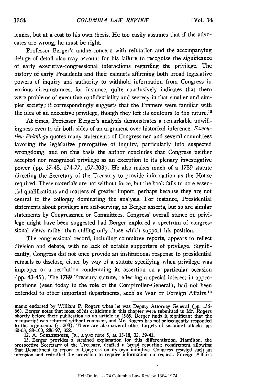lemics, but at a cost to his own thesis. He too easily assumes that if the advocates are wrong, he must be right.

Professor Berger's undue concern with refutation and the accompanying deluge of detail also may account for his failure to recognize the significance of early executive-congressional interactions regarding the privilege. The history of early Presidents and their cabinets affirming both broad legislative powers of inquiry and authority to withhold information from Congress in various circumstances, for instance, quite conclusively indicates that there were problems of executive confidentiality and secrecy in that smaller and simpler society; it correspondingly suggests that the Framers were familiar with the idea of an executive privilege, though they left its contours to the future.<sup>12</sup>

At times, Professor Berger's analysis demonstrates a remarkable unwillingness even to air both sides of an argument over historical inference. *Executive Privilege* quotes many statements of Congressmen and several committees favoring the legislative prerogative of inquiry, particularly into suspected wrongdoing, and on this basis the author concludes that Congress neither accepted nor recognized privilege as an exception to its plenary investigative power (pp. 37-48, 174-77, 197-203). He also makes much of a 1789 statute directing the Secretary of the Treasury to provide information as the House required. These materials are not without force, but the book fails to note essential qualifications and matters of greater import, perhaps because they are not central to the colloquy dominating the analysis. For instance, Presidential statements about privilege are self-serving, as Berger asserts, but so are similar statements by Congressmen or Committees. Congress' overall stance on privilege might have been suggested had Berger explored a spectrum of congressional views rather than culling only those which support his position.

The congressional record, including committee reports, appears to reflect division and debate, with no lack of notable supporters of privilege. Significantly, Congress did not once provide an institutional response to presidential refusals to disclose, either by way of a statute specifying when privilege was improper or a resolution condemning its assertion on a particular occasion (pp. 43-45). The 1789 Treasury statute, reflecting a special interest in appropriations (seen today in the role of the Comptroller-General), had not been extended to other important departments, such as War or Foreign Affairs.<sup>13</sup>

memo endorsed by William P. Rogers when he was Deputy Attorney General (pp. 136- 66). Berger notes that most of his criticisms in this chapter were submitted to Mr. Rogers<br>shortly before their publication as an article in 1965. Berger finds it significant that the<br>manuscript was returned without commen to the arguments (p. 208). There are also several other targets of sustained attack: pp. 60-63, 88-100, 286-97, 352. 12. **A. SCHLESINGER,** JR., *supra* note 5, at 15-18, 32, 39-41.

<sup>13.</sup> Berger provides a strained explanation for this differentiation. Hamilton, the prospective Secretary of the Treasury, drafted a broad reporting requirement allowing that Department to report to Congress on its own initiative. Congress resisted such an intrusion and redrafted the provision to require information on request. Foreign Affairs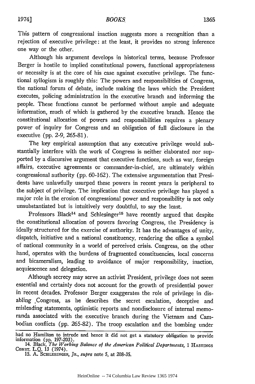This pattern of congressional inaction suggests more a recognition than a rejection of executive privilege; at the least, it provides no strong inference one way or the other.

Although his argument develops in historical terms, because Professor Berger is hostile to implied constitutional powers, functional appropriateness or necessity is at the core of his case against executive privilege. The functional syllogism is roughly this: The powers and responsibilities of Congress, the national forum of debate, include making the laws which the President executes, policing administration in the executive branch and informing the people. These functions cannot be performed without ample and adequate information, much of which is gathered by the executive branch. Hence the constitutional allocation of powers and responsibilities requires a plenary power of inquiry for Congress and an obligation of full disclosure in the executive (pp. 2-9, 265-81).

The key empirical assumption that any executive privilege would substantially interfere with the work of Congress is neither 'elaborated nor supported by a discursive argument that executive functions, such as war, foreign affairs, executive agreements or commander-in-chief, are ultimately within congressional authority (pp. 60-162). The extensive argumentation that Presidents have unlawfully usurped these powers in recent years is peripheral to the subject of privilege. The implication that executive privilege has played a major role in the erosion of congressional power and responsibility is not only unsubstantiated but is intuitively very doubtful, to say the least.

Professors Black<sup>14</sup> and Schlesinger<sup>15</sup> have recently argued that despite the constitutional allocation of powers favoring Congress, the Presidency is ideally structured for the exercise of authority. It has the advantages of unity, dispatch, initiative and a national constituency, rendering the office a symbol of national community in a world of perceived crisis. Congress, on the other hand, operates with the burdens of fragmented constituencies, local concerns and bicameralism, leading to avoidance of major responsibility, inaction, acquiescence and delegation.

Although secrecy may serve an activist President, privilege does not seem essential and certainly does not account for the growth of presidential power in recent decades. Professor Berger exaggerates the role of privilege in disabling .Congress, as he describes the secret escalation, deceptive and misleading statements, optimistic reports and nondisclosure of internal memoranda associated with the executive branch during the Vietnam and Cambodian conflicts (pp. 265-82). The troop escalation and the bombing under

had no Hamilton to intrude and hence it did not get **a** statutory obligation **to provide** information **(pp.** 197-203). 14. Black, *The Working Balance of the American Political Departments,* **1** HASTINGS

CONsT. L.Q. 13 (1974). **15.** A. **SCHLESINGER,** JR., *supra* note 5, at 208-35.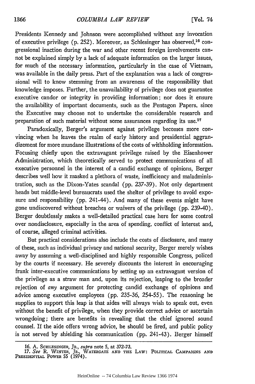Presidents Kennedy and Johnson were accomplished without any invocation of executive privilege (p. 252). Moreover, as Schlesinger has observed, $16$  congressional inaction during the war and other recent foreign involvements cannot be explained simply by a lack of adequate information on the larger issues, for much of the necessary information, particularly in the case of Vietnam, was available in the daily press. Part of the explanation was a lack of congressional will to know stemming from an awareness of the responsibility that knowledge imposes. Further, the unavailability of privilege does not guarantee executive candor or integrity in providing information; nor does it ensure the availability of important documents, such as the Pentagon Papers. since the Executive may choose not to undertake the considerable research and preparation of such material without some assurances regarding its use.<sup>17</sup>

Paradoxically, Berger's argument against privilege becomes more convincing when he leaves the realm of early history and presidential aggrandizement for more mundane illustrations of the costs of withholding information. Focusing chiefly upon the extravagant privilege raised by the Eisenhower Administration, which theoretically served to protect communications of all executive personnel in the interest of a candid exchange of opinions, Berger describes well how it masked a plethora of waste, inefficiency and maladministration, such as the Dixon-Yates scandal (pp. 237-39). Not only department heads but middle-level bureaucrats used the shelter of privilege to avoid exposure and responsibility (pp. 241-44). And many of these events might have gone undiscovered without breaches or waivers of the privilege (pp. 239-40). Berger doubtlessly makes a well-detailed practical case here for some control over nondisclosure, especially in the area of spending, conflict of interest and, of course, alleged criminal activities.

But practical considerations also include the costs of disclosure, and many of these, such as individual privacy and national security, Berger merely wishes away by assuming a well-disciplined and highly responsible Congress, policed by the courts if necessary. He severely discounts the interest in encouraging frank inter-executive communications by setting up an extravagant version of the privilege as a straw man and, upon its rejection, leaping to the broader rejection of *any* argument for protecting candid exchange of opinions and advice among executive employees (pp. 235-36, 254-55). The reasoning he supplies to support this leap is that aides will always wish to speak out, even without the benefit of privilege, when they provide correct advice or ascertain wrongdoing; there are benefits in revealing that the chief ignored sound counsel. If the aide offers wrong advice, he should be fired, and public policy is not served by shielding his communication (pp. 241-43). Berger himself

**<sup>16.</sup> A. SCHLESINGER,** JR., *supra* note **5,** at **372-73. 17.** *See* R. **WINTER, JR., WATERGATE AND THE** LAW: **POLITICAL CAMPAIGNS AND PRESIDENTIAL** POWER 55 (1974).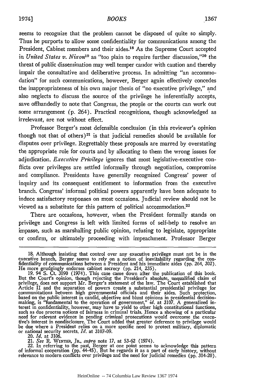seems to recognize that the problem cannot be disposed of quite so simply. Thus he purports to allow some confidentiality for communications among the President, Cabinet members and their aides.<sup>18</sup> As the Supreme Court accepted in *United States v. Nixon*<sup>19</sup> as "too plain to require further discussion,"<sup>20</sup> the threat of public dissemination may well temper candor with caution and thereby impair the consultative and deliberative process. In admitting "an accommodation" for such communications, however, Berger again effectively concedes the inappropriateness of his own major thesis of "no executive privilege," and also neglects to discuss the source of the privilege he inferentially accepts, save offhandedly to note that Congress, the people or the courts can work out some arrangement **(p.** 264). Practical recognitions, though acknowledged as irrelevant, are not without effect.

Professor Berger's most defensible conclusion (in this reviewer's opinion though not that of others)<sup>21</sup> is that judicial remedies should be available for disputes over privilege. Regrettably these proposals are marred **by** overstating the appropriate role for courts and **by** allocating to them the wrong issues for adjudication. *Executive Privilege* ignores that most legislative-executive conflicts over privileges are settled informally through negotiation, compromise and compliance. Presidents have generally recognized Congress' power of inquiry and its consequent entitlement to information from the executive branch. Congress' informal political powers apparently have been adequate to induce satisfactory responses on most occasions. Judicial review should not be viewed as a substitute for this pattern of political accommodation.<sup>22</sup>

There are occasions, however, when the President formally stands on privilege and Congress is left with limited forms of self-help to resolve an impasse, such as marshalling public opinion, refusing to legislate, appropriate or confirm, or ultimately proceeding with impeachment. Professor Berger

*21. See* R. **WINTER,** JR., *supra* note **17,** at **53-62** (1974). 22. In referring to the past, Berger at one point seems to acknowledge this pattern of informal cooperation (pp. 44-45). But he regards it as a part of early history, without relevance to modern conflicts over privilege and the need for judicial remedies (pp. 304-20).

**<sup>18.</sup>** Although insisting that control over any executive privilege must not be in the executive branch, Berger seems to rely on a notion of inevitability regarding the confidentiality of communications between a President and his immediate aides **(pp.** 264, **302).**

He more grudgingly endorses cabinet secrecy (pp. 214, 235).<br>19. 94 S. Ct. 3090 (1974). This case came down after the publication of this book.<br>But the Court's opinion, though rejecting the President's absolute, unqualified privilege, does not support Mr. Berger's statement of the law. The Court established that Article II and the separation of powers create a substantial presidential privilege for communications between high governmental officials and their aides. Such protection, based on the public interest in candid, objective and blunt opinions in presidential decisionmaking, is "fundamental to the operation of government," *id.* at **3107. A** generalized interest in confidentiality, however, may have to yield to other high constitutional functions, such as due process notions of fairness in criminal trials. Hence a showing of a particular<br>need for relevant evidence in pending criminal prosecutions would overcome the execu-<br>tive's interest in nondisclosure. The Court be due where a President relies on a more specific need to protect military, diplomatic or national security secrets. *Id.* at **3107-09.** *20. Id.* at **3106.**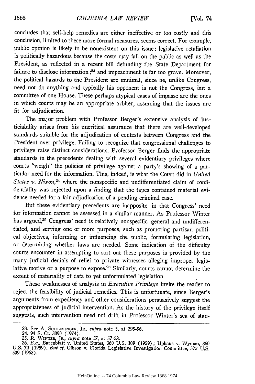concludes that self-help remedies are either ineffective or too costly and this conclusion, limited to these more formal measures, seems correct. For example, public opinion is likely to be nonexistent on this issue; legislative retaliation is politically hazardous because the costs may fall on the public as well as the President, as reflected in a recent bill defunding the State Department for failure to disclose information **;23** and impeachment is far too grave. Moreover, the political hazards to the President are minimal, since he, unlike Congress, need not do anything and typically his opponent is not the Congress, but a committee of one House. These perhaps atypical cases of impasse are the ones in which courts may be an appropriate arbiter, assuming that the issues are fit for adjudication.

The major problem with Professor Berger's extensive analysis of justiciability arises from his uncritical assurance that there are well-developed standards suitable for the adjudication of contests between Congress and the President over privilege. Failing to recognize that congressional challenges to privilege raise distinct considerations, Professor Berger finds the appropriate standards in the precedents dealing with several evidentiary privileges where courts "weigh" the policies of privilege against a party's showing of a particular need for the information. This, indeed, is what the Court did in *United States v. Nixon,24* where the nonspecific and undifferentiated claim of confidentiality was rejected upon a finding that the tapes contained material evidence needed for a fair adjudication of a pending criminal case.

But these evidentiary precedents are inapposite, in that Congress' need for information cannot be assessed in a similar manner. As Professor Winter has argued,<sup>25</sup> Congress' need is relatively nonspecific, general and undifferentiated, and serving one or more purposes, such as promoting partisan political objectives, informing or influencing the public, formulating legislation, or determining whether laws are needed. Some indication of the difficulty courts encounter in attempting to sort out these purposes is provided by the many judicial denials of relief to private witnesses alleging improper legislative motive or a purpose to expose.<sup>26</sup> Similarly, courts cannot determine the extent of materiality of data to yet unformulated legislation.

These weaknesses of analysis in *Executive Privilege* invite the reader to reject the feasibility of judicial remedies. This is unfortunate, since Berger's arguments from expediency and other considerations persuasively suggest the appropriateness of judicial intervention. As the history of the privilege itself suggests, such intervention need not drift in Professor Winter's sea of stan-

<sup>23.</sup> See A. **SCHLESINGER,** JR., *supra* note 5, at 395-96.

<sup>24. 94</sup> **S.** Ct. 3090 (1974). 25. R. **WINTER, JR.,** *supra* note 17, at 57-58.

<sup>26.</sup> E.g., Barenblatt v. United States, 360 U.S. 109 (1959) ; Uphaus v. Wyman, 360 U.S. **72** (1959). *But cf.* Gibson v. Florida Legislative Investigation Committee, **372** U.S. 539 (1963).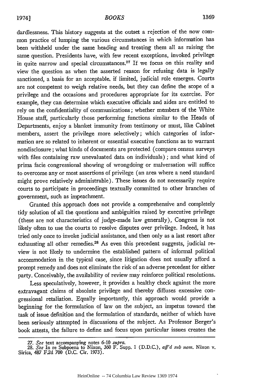dardlessness. This history suggests at the outset a rejection of the now common practice of lumping the various circumstances in which information has been withheld under the same heading and treating them all as raising the same question. Presidents have, with few recent exceptions, invoked privilege in quite narrow and special circumstances.<sup>27</sup> If we focus on this reality and view the question as when the asserted reason for refusing data is legally sanctioned, a basis for an acceptable, if limited, judicial role emerges. Courts are not competent to weigh relative needs, but they can define the scope of a privilege and the occasions and procedures appropriate for its exercise. For example, they can determine which executive officials and aides are entitled to rely on the confidentiality of communications; whether members of the White House staff, particularly those performing functions similar to the Heads of Departments, enjoy a blanket immunity from testimony or must, like Cabinet members, assert the privilege more selectively; which categories of information are so related to inherent or essential executive functions as to warrant nondisclosure; what kinds of documents are protected (compare census surveys with files containing raw unevaluated data on individuals) ; and what kind of prima facie congressional showing of wrongdoing or malversation will suffice to overcome any or most assertions of privilege (an area where a need standard might prove relatively administrable). These issues do not necessarily require courts to participate in proceedings textually committed to other branches of government, such as impeachment.

Granted this approach does not provide a comprehensive and completely tidy solution of all the questions and ambiguities raised by executive privilege (these are not characteristics of judge-made law generally), Congress is not likely often to use the courts to resolve disputes over privilege. Indeed, it has tried only once to invoke judicial assistance, and then only as a last resort after exhausting all other remedies.<sup>28</sup> As even this precedent suggests, judicial review is not likely to undermine the established pattern of informal political accommodation in the typical case, since litigation does not usually afford a prompt remedy and does not eliminate the risk of an adverse precedent for either party. Conceivably, the availability of review may reinforce political resolutions.

Less speculatively, however, it provides a healthy check against the more extravagant claims of absolute privilege and thereby diffuses excessive congressional retaliation. Equally importantly, this approach would provide a beginning for the formulation of law on the subject, an impetus toward the task of issue definition and the formulation of standards, neither of which have been seriously attempted in discussions of the subject. As Professor Berger's book attests, the failure to define and focus upon particular issues creates the

*<sup>27.</sup> See* text accompanying notes 6-10 *supra.* **28.** *See* In re Subpoena to Nixon, 360 F. Supp. 1 (D.D.C.), *aff'd sub norm.* Nixon v. Sirica, **487** F.2d 700 **(D.C.** Cir. 1973).